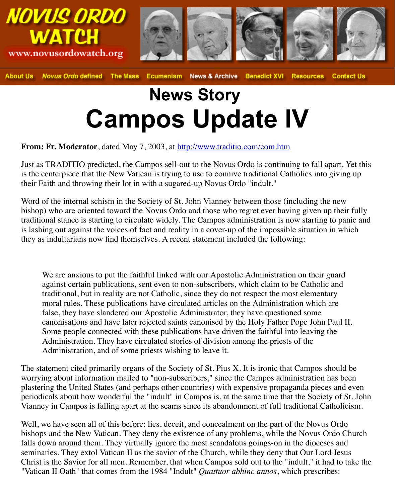## **News Story Campos Update IV**

## **From: Fr. Moderator**, dated May 7, 2003, at http://www.traditio.com/com.htm

Just as TRADITIO predicted, the Campos sell-out to the Novus Ordo is continuing to fall is the centerpiece that the New Vatican is trying to use to connive traditional Catholics int their Faith and throwing their lot in with a sugared-up Novus Ordo "indult."

Word of the internal schism in the Society of St. John Vianney between those (including the North bishop) who are oriented toward the Novus Ordo and those who regret ever having given traditional stance is starting to circulate widely. The Campos administration is now starting is lashing out against the voices of fact and re[ality in a cover-up of the impossibl](http://www.traditio.com/com.htm)e situation they as indultarians now find themselves. A recent statement included the following:

We are anxious to put the faithful linked with our Apostolic Administration on their against certain publications, sent even to non-subscribers, which claim to be Cathol traditional, but in reality are not Catholic, since they do not respect the most element moral rules. These publications have circulated articles on the Administration which false, they have slandered our Apostolic Administrator, they have questioned some canonisations and have later rejected saints canonised by the Holy Father Pope John Some people connected with these publications have driven the faithful into leaving Administration. They have circulated stories of division among the priests of the Administration, and of some priests wishing to leave it.

The statement cited primarily organs of the Society of St. Pius  $X$ . It is ironic that Campos worrying about information mailed to "non-subscribers," since the Campos administration plastering the United States (and perhaps other countries) with expensive propaganda pieces periodicals about how wonderful the "indult" in Campos is, at the same time that the Soci Vianney in Campos is falling apart at the seams since its abandonment of full traditional On

Well, we have seen all of this before: lies, deceit, and concealment on the part of the Novus bishops and the New Vatican. They deny the existence of any problems, while the Novus falls down around them. They virtually ignore the most scandalous goings-on in the dioce seminaries. They extol Vatican II as the savior of the Church, while they deny that Our Lord Jesus Christ is the Savior for all men. Remember, that when Campos sold out to the "indult," it "Vatican II Oath" that comes from the 1984 "Indult" *Quattuor abhinc annos*, which presc